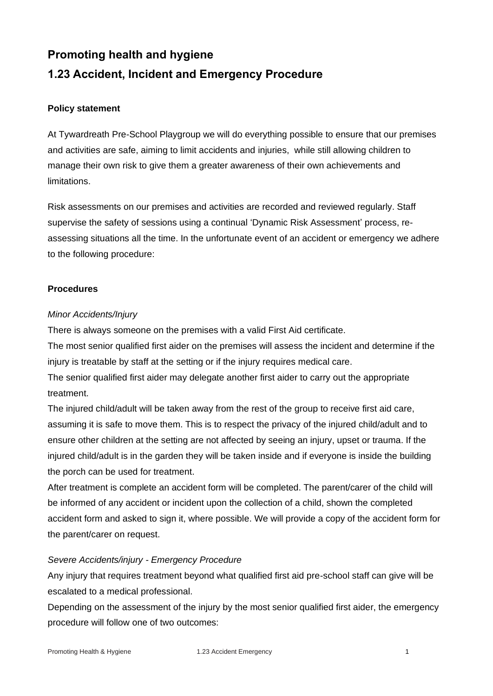# **Promoting health and hygiene 1.23 Accident, Incident and Emergency Procedure**

### **Policy statement**

At Tywardreath Pre-School Playgroup we will do everything possible to ensure that our premises and activities are safe, aiming to limit accidents and injuries, while still allowing children to manage their own risk to give them a greater awareness of their own achievements and limitations.

Risk assessments on our premises and activities are recorded and reviewed regularly. Staff supervise the safety of sessions using a continual 'Dynamic Risk Assessment' process, reassessing situations all the time. In the unfortunate event of an accident or emergency we adhere to the following procedure:

#### **Procedures**

## *Minor Accidents/Injury*

There is always someone on the premises with a valid First Aid certificate.

The most senior qualified first aider on the premises will assess the incident and determine if the injury is treatable by staff at the setting or if the injury requires medical care.

The senior qualified first aider may delegate another first aider to carry out the appropriate treatment.

The injured child/adult will be taken away from the rest of the group to receive first aid care, assuming it is safe to move them. This is to respect the privacy of the injured child/adult and to ensure other children at the setting are not affected by seeing an injury, upset or trauma. If the injured child/adult is in the garden they will be taken inside and if everyone is inside the building the porch can be used for treatment.

After treatment is complete an accident form will be completed. The parent/carer of the child will be informed of any accident or incident upon the collection of a child, shown the completed accident form and asked to sign it, where possible. We will provide a copy of the accident form for the parent/carer on request.

# *Severe Accidents/injury - Emergency Procedure*

Any injury that requires treatment beyond what qualified first aid pre-school staff can give will be escalated to a medical professional.

Depending on the assessment of the injury by the most senior qualified first aider, the emergency procedure will follow one of two outcomes: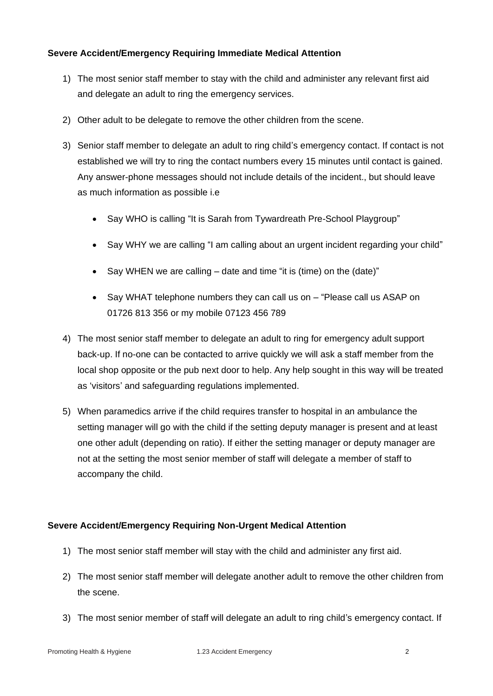## **Severe Accident/Emergency Requiring Immediate Medical Attention**

- 1) The most senior staff member to stay with the child and administer any relevant first aid and delegate an adult to ring the emergency services.
- 2) Other adult to be delegate to remove the other children from the scene.
- 3) Senior staff member to delegate an adult to ring child's emergency contact. If contact is not established we will try to ring the contact numbers every 15 minutes until contact is gained. Any answer-phone messages should not include details of the incident., but should leave as much information as possible i.e
	- Say WHO is calling "It is Sarah from Tywardreath Pre-School Playgroup"
	- Say WHY we are calling "I am calling about an urgent incident regarding your child"
	- Say WHEN we are calling date and time "it is (time) on the (date)"
	- Say WHAT telephone numbers they can call us on "Please call us ASAP on 01726 813 356 or my mobile 07123 456 789
- 4) The most senior staff member to delegate an adult to ring for emergency adult support back-up. If no-one can be contacted to arrive quickly we will ask a staff member from the local shop opposite or the pub next door to help. Any help sought in this way will be treated as 'visitors' and safeguarding regulations implemented.
- 5) When paramedics arrive if the child requires transfer to hospital in an ambulance the setting manager will go with the child if the setting deputy manager is present and at least one other adult (depending on ratio). If either the setting manager or deputy manager are not at the setting the most senior member of staff will delegate a member of staff to accompany the child.

# **Severe Accident/Emergency Requiring Non-Urgent Medical Attention**

- 1) The most senior staff member will stay with the child and administer any first aid.
- 2) The most senior staff member will delegate another adult to remove the other children from the scene.
- 3) The most senior member of staff will delegate an adult to ring child's emergency contact. If